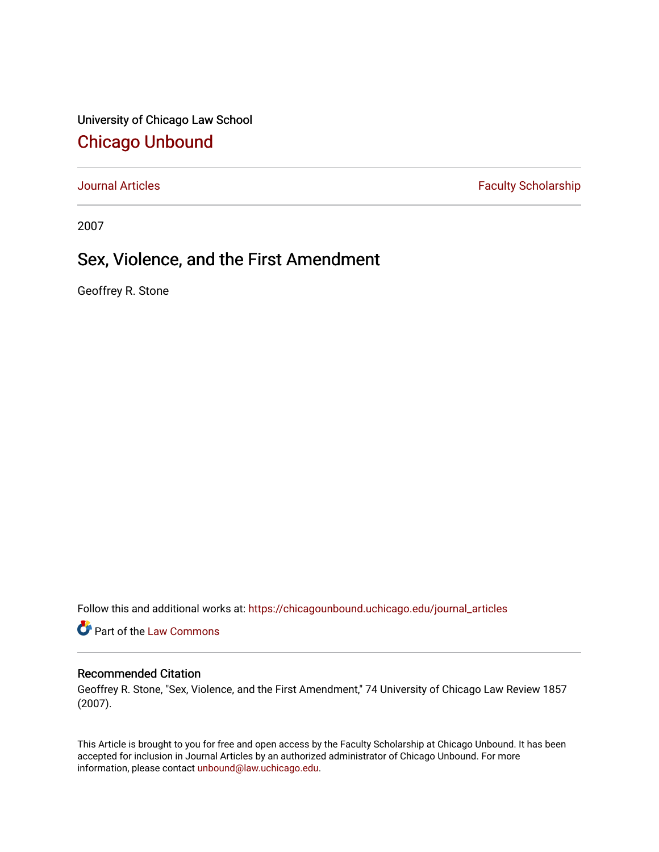University of Chicago Law School [Chicago Unbound](https://chicagounbound.uchicago.edu/)

[Journal Articles](https://chicagounbound.uchicago.edu/journal_articles) **Faculty Scholarship Faculty Scholarship** 

2007

# Sex, Violence, and the First Amendment

Geoffrey R. Stone

Follow this and additional works at: [https://chicagounbound.uchicago.edu/journal\\_articles](https://chicagounbound.uchicago.edu/journal_articles?utm_source=chicagounbound.uchicago.edu%2Fjournal_articles%2F1948&utm_medium=PDF&utm_campaign=PDFCoverPages) 

Part of the [Law Commons](http://network.bepress.com/hgg/discipline/578?utm_source=chicagounbound.uchicago.edu%2Fjournal_articles%2F1948&utm_medium=PDF&utm_campaign=PDFCoverPages)

# Recommended Citation

Geoffrey R. Stone, "Sex, Violence, and the First Amendment," 74 University of Chicago Law Review 1857 (2007).

This Article is brought to you for free and open access by the Faculty Scholarship at Chicago Unbound. It has been accepted for inclusion in Journal Articles by an authorized administrator of Chicago Unbound. For more information, please contact [unbound@law.uchicago.edu](mailto:unbound@law.uchicago.edu).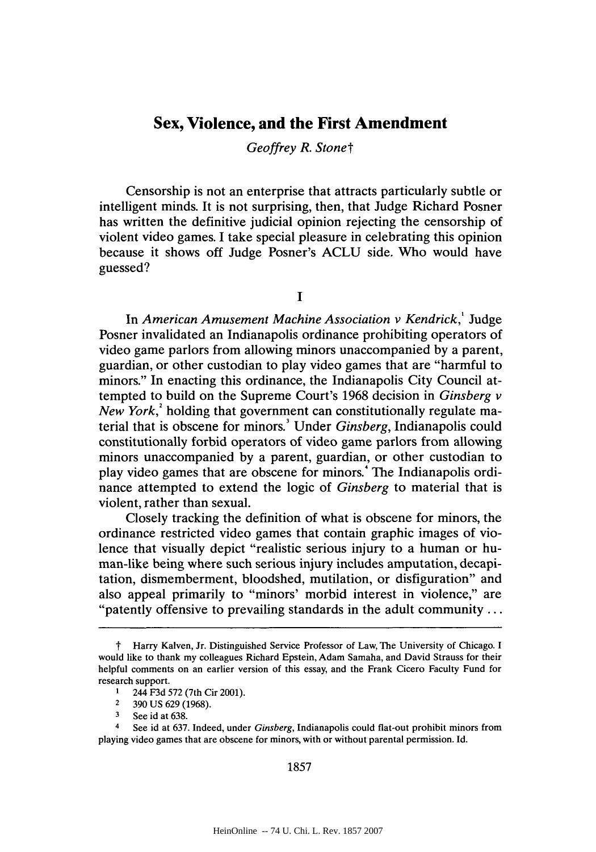# **Sex, Violence, and the First Amendment**

*Geoffrey R. Stonet*

Censorship is not an enterprise that attracts particularly subtle or intelligent minds. It is not surprising, then, that Judge Richard Posner has written the definitive judicial opinion rejecting the censorship of violent video games. **I** take special pleasure in celebrating this opinion because it shows off Judge Posner's **ACLU** side. Who would have guessed?

**I**

In *American Amusement Machine Association v Kendrick,'* Judge Posner invalidated an Indianapolis ordinance prohibiting operators of video game parlors from allowing minors unaccompanied **by** a parent, guardian, or other custodian to play video games that are "harmful to minors." In enacting this ordinance, the Indianapolis City Council attempted to build on the Supreme Court's **1968** decision in *Ginsberg v New York,'* holding that government can constitutionally regulate material that is obscene for minors.' Under *Ginsberg,* Indianapolis could constitutionally forbid operators of video game parlors from allowing minors unaccompanied **by** a parent, guardian, or other custodian to play video games that are obscene for minors.' The Indianapolis ordinance attempted to extend the logic of *Ginsberg* to material that is violent, rather than sexual.

Closely tracking the definition of what is obscene for minors, the ordinance restricted video games that contain graphic images of violence that visually depict "realistic serious injury to a human or human-like being where such serious injury includes amputation, decapitation, dismemberment, bloodshed, mutilation, or disfiguration" and also appeal primarily to "minors' morbid interest in violence," are "patently offensive to prevailing standards in the adult community **...**

*<sup>1</sup>* Harry Kalven, Jr. Distinguished Service Professor of Law, The University of Chicago. **I** would like to thank my colleagues Richard Epstein, Adam Samaha, and David Strauss for their helpful comments on an earlier version of this essay, and the Frank Cicero Faculty Fund for research support.

**<sup>1</sup>** 244 **F3d 572** (7th Cir 2001).

**<sup>2</sup>390 US 629 (1968).**

**<sup>3</sup>** See id at **638.**

<sup>4</sup> See id at **637.** Indeed, under Ginsberg, Indianapolis could flat-out prohibit minors from playing video games that are obscene for minors, with or without parental permission. **Id.**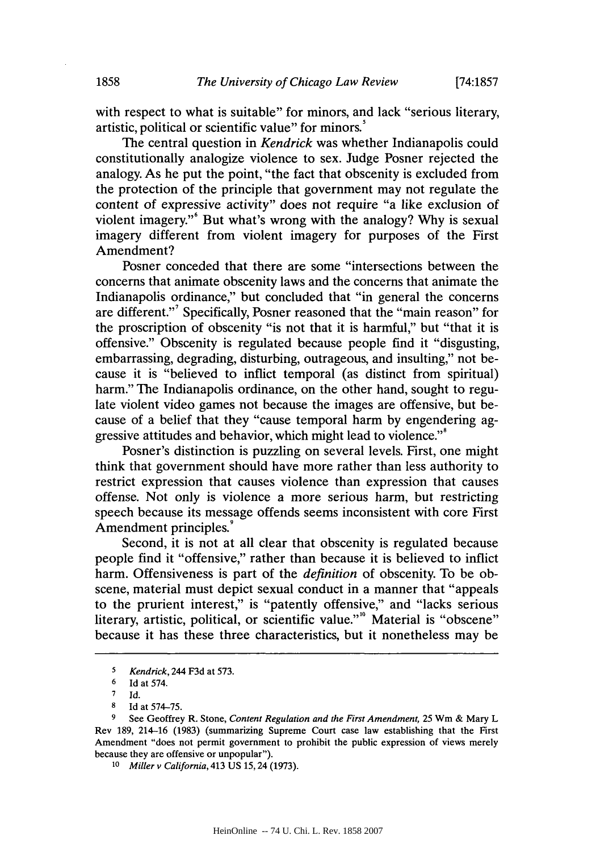with respect to what is suitable" for minors, and lack "serious literary, artistic, political or scientific value" for minors.

The central question in *Kendrick* was whether Indianapolis could constitutionally analogize violence to sex. Judge Posner rejected the analogy. As he put the point, "the fact that obscenity is excluded from the protection of the principle that government may not regulate the content of expressive activity" does not require "a like exclusion of violent imagery."' But what's wrong with the analogy? **Why** is sexual imagery different from violent imagery for purposes of the First Amendment?

Posner conceded that there are some "intersections between the concerns that animate obscenity laws and the concerns that animate the Indianapolis ordinance," but concluded that "in general the concerns are different."<sup>7</sup> Specifically, Posner reasoned that the "main reason" for the proscription of obscenity "is not that it is harmful," but "that it is offensive." Obscenity is regulated because people find it "disgusting, embarrassing, degrading, disturbing, outrageous, and insulting," not because it is "believed to inflict temporal (as distinct from spiritual) harm." The Indianapolis ordinance, on the other hand, sought to regulate violent video games not because the images are offensive, but because of a belief that they "cause temporal harm **by** engendering aggressive attitudes and behavior, which might lead to violence."<sup>8</sup>

Posner's distinction is puzzling on several levels. First, one might think that government should have more rather than less authority to restrict expression that causes violence than expression that causes offense. Not only is violence a more serious harm, but restricting speech because its message offends seems inconsistent with core First Amendment principles.'

Second, it is not at all clear that obscenity is regulated because people find it "offensive," rather than because it is believed to inflict harm. Offensiveness is part of the *definition* of obscenity. To be obscene, material must depict sexual conduct in a manner that "appeals to the prurient interest," is "patently offensive," and "lacks serious literary, artistic, political, or scientific value."<sup>10</sup> Material is "obscene" because it has these three characteristics, but it nonetheless may be

**<sup>5</sup>** *Kendrick,* **244 F3d at 573.**

**<sup>6</sup>Id at** *574.*

**<sup>7</sup> Id.**

**<sup>8</sup> Id at 574-75.**

**<sup>9</sup> See Geoffrey R. Stone,** *Content Regulation and the First Amendment, 25* Wm **& Mary L Rev 189, 214-16 (1983) (summarizing Supreme Court case law establishing that the First Amendment "does not permit government to prohibit the public expression of views merely because they are offensive or unpopular").**

**<sup>10</sup>** *Miller v California,* **413 US 15,24 (1973).**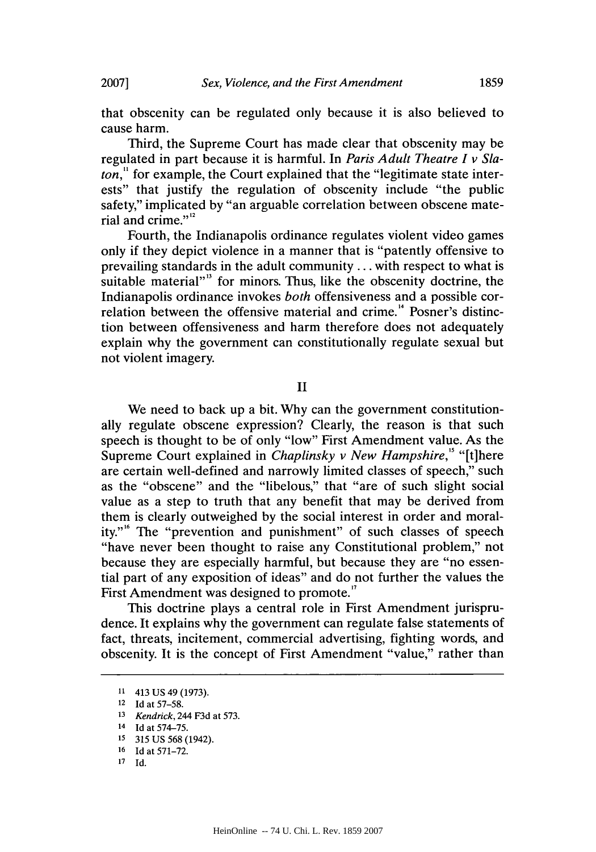that obscenity can be regulated only because it is also believed to cause harm.

Third, the Supreme Court has made clear that obscenity may be regulated in part because it is harmful. In *Paris Adult Theatre I v Slaton,"* for example, the Court explained that the "legitimate state interests" that justify the regulation of obscenity include "the public safety," implicated **by** "an arguable correlation between obscene material and crime." $2^{12}$ 

Fourth, the Indianapolis ordinance regulates violent video games only if they depict violence in a manner that is "patently offensive to prevailing standards in the adult community **...** with respect to what is suitable material"<sup>3</sup> for minors. Thus, like the obscenity doctrine, the Indianapolis ordinance invokes *both* offensiveness and a possible correlation between the offensive material and crime.<sup>14</sup> Posner's distinction between offensiveness and harm therefore does not adequately explain why the government can constitutionally regulate sexual but not violent imagery.

II

We need to back up a bit. **Why** can the government constitutionally regulate obscene expression? Clearly, the reason is that such speech is thought to be of only "low" First Amendment value. As the Supreme Court explained in *Chaplinsky v New Hampshire," "[t]here* are certain well-defined and narrowly limited classes of speech," such as the "obscene" and the "libelous," that "are of such slight social value as a step to truth that any benefit that may be derived from them is clearly outweighed **by** the social interest in order and morality."" The "prevention and punishment" of such classes of speech "have never been thought to raise any Constitutional problem," not because they are especially harmful, but because they are "no essential part of any exposition of ideas" and do not further the values the First Amendment was designed to promote.<sup>17</sup>

This doctrine plays a central role in First Amendment jurisprudence. It explains why the government can regulate false statements of fact, threats, incitement, commercial advertising, fighting words, and obscenity. It is the concept of First Amendment "value," rather than

**<sup>11</sup>** 413 **US** 49 **(1973).**

**<sup>12</sup> Id** *at* **57-58.**

**<sup>13</sup>***Kendrick,* 244 **F3d** *at* **573.**

**<sup>14</sup> Id** *at* **574-75.**

**<sup>15</sup> 315 US 568** (1942).

**<sup>16</sup> Id** *at* **571-72.**

**<sup>17</sup> Id.**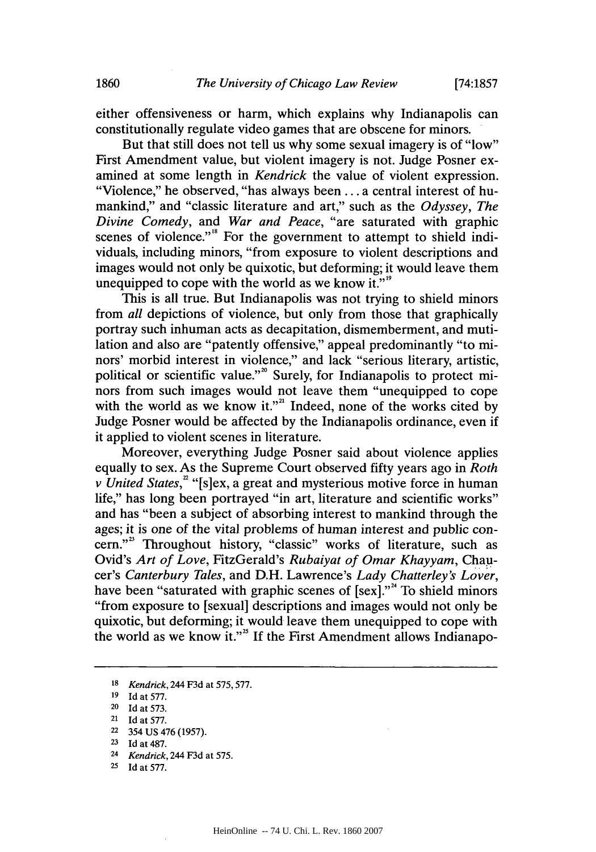either offensiveness or harm, which explains why Indianapolis can constitutionally regulate video games that are obscene for minors.

But that still does not tell us why some sexual imagery is of "low" First Amendment value, but violent imagery is not. Judge Posner examined at some length in *Kendrick* the value of violent expression. "Violence," he observed, "has always been **...** a central interest of humankind," and "classic literature and art," such as the *Odyssey, The Divine Comedy, and War and Peace,* "are saturated with graphic scenes of violence."<sup>8</sup> For the government to attempt to shield individuals, including minors, "from exposure to violent descriptions and images would not only be quixotic, but deforming; it would leave them unequipped to cope with the world as we know it." $\mathbf{S}^{\text{ss}}$ 

This is all true. But Indianapolis was not trying to shield minors from *all* depictions of violence, but only from those that graphically portray such inhuman acts as decapitation, dismemberment, and mutilation and also are "patently offensive," appeal predominantly "to minors' morbid interest in violence," and lack "serious literary, artistic, political or scientific value."<sup>20</sup> Surely, for Indianapolis to protect minors from such images would not leave them "unequipped to cope with the world as we know it."<sup>2</sup> Indeed, none of the works cited by Judge Posner would be affected **by** the Indianapolis ordinance, even if it applied to violent scenes in literature.

Moreover, everything Judge Posner said about violence applies equally to sex. As the Supreme Court observed **fifty** years ago in *Roth v United States,* "[s]ex, a great and mysterious motive force in human life," has long been portrayed "in art, literature and scientific works" and has "been a subject of absorbing interest to mankind through the ages; it is one of the vital problems of human interest and public concern."<sup>23</sup> Throughout history, "classic" works of literature, such as Ovid's *Art of Love, FitzGerald's Rubaiyat of Omar Khayyam, Chaucer's Canterbury Tales,* and D.H. Lawrence's *Lady Chatterley's Lover,* have been "saturated with graphic scenes of  $[sex].$ "<sup>4</sup> To shield minors "from exposure to [sexual] descriptions and images would not only be quixotic, but deforming; it would leave them unequipped to cope with the world as we know it."" **If** the First Amendment allows Indianapo-

**<sup>24</sup>***Kendrick,* 244 **F3d** at **575.**

**<sup>18</sup>***Kendrick,* 244 **F3d** at **575,577.**

**<sup>19</sup>Id** at **577.**

**<sup>20</sup>Id** at **573.**

**<sup>21</sup>**Id at **577.**

**<sup>22</sup>**354 **US** 476 **(1957).**

*<sup>23</sup>*Id at **487.**

<sup>25</sup> Id at 577.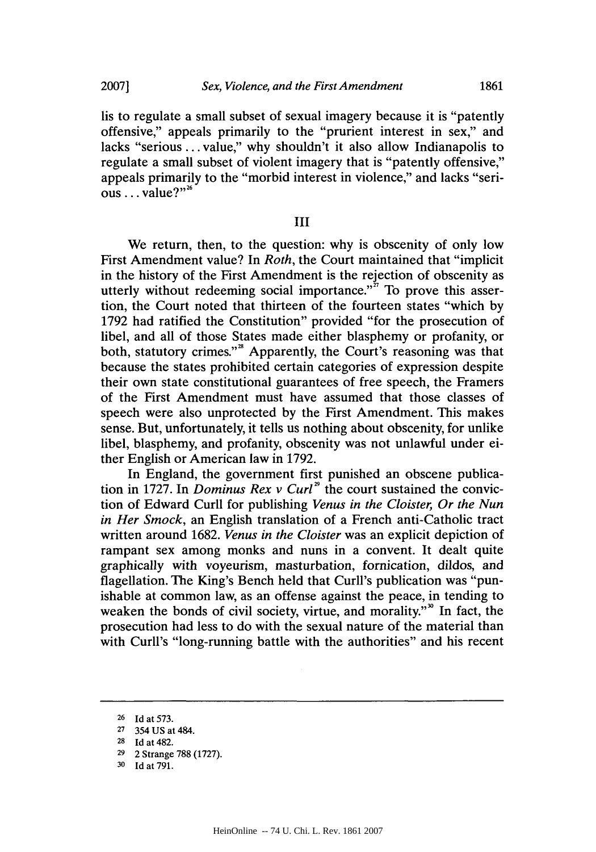lis to regulate a small subset of sexual imagery because it is "patently offensive," appeals primarily to the "prurient interest in sex," and lacks "serious **...** value," why shouldn't it also allow Indianapolis to regulate a small subset of violent imagery that is "patently offensive," appeals primarily to the "morbid interest in violence," and lacks "serious . . . **value?**"<sup>26</sup>

#### **III**

We return, then, to the question: why is obscenity of only low First Amendment value? In *Roth,* the Court maintained that "implicit in the history of the First Amendment is the rejection of obscenity as utterly without redeeming social importance."<sup> $27$ </sup> To prove this assertion, the Court noted that thirteen of the fourteen states "which **by 1792** had ratified the Constitution" provided "for the prosecution of libel, and all of those States made either blasphemy or profanity, or both, statutory crimes."" Apparently, the Court's reasoning was that because the states prohibited certain categories of expression despite their own state constitutional guarantees of free speech, the Framers of the First Amendment must have assumed that those classes of speech were also unprotected **by** the First Amendment. This makes sense. But, unfortunately, it tells us nothing about obscenity, for unlike libel, blasphemy, and profanity, obscenity was not unlawful under either English or American law in **1792.**

In England, the government first punished an obscene publication in 1727. In *Dominus Rex v Curl*<sup>29</sup> the court sustained the conviction of Edward Curll for publishing *Venus in the Cloister, Or the Nun in Her Smock,* an English translation of a French anti-Catholic tract written around **1682.** *Venus in the Cloister* was an explicit depiction of rampant sex among monks and nuns in a convent. It dealt quite graphically with voyeurism, masturbation, fornication, dildos, and flagellation. The King's Bench held that Curll's publication was "punishable at common law, as an offense against the peace, in tending to weaken the bonds of civil society, virtue, and morality."<sup>30</sup> In fact, the prosecution had less to do with the sexual nature of the material than with Curll's "long-running battle with the authorities" and his recent

**<sup>26</sup>Id** at **573.**

**<sup>27 354</sup> US** at **484.**

**<sup>28</sup>Id** at **482.**

**<sup>29</sup>**2 Strange **788 (1727).**

**<sup>30</sup>Id** at **791.**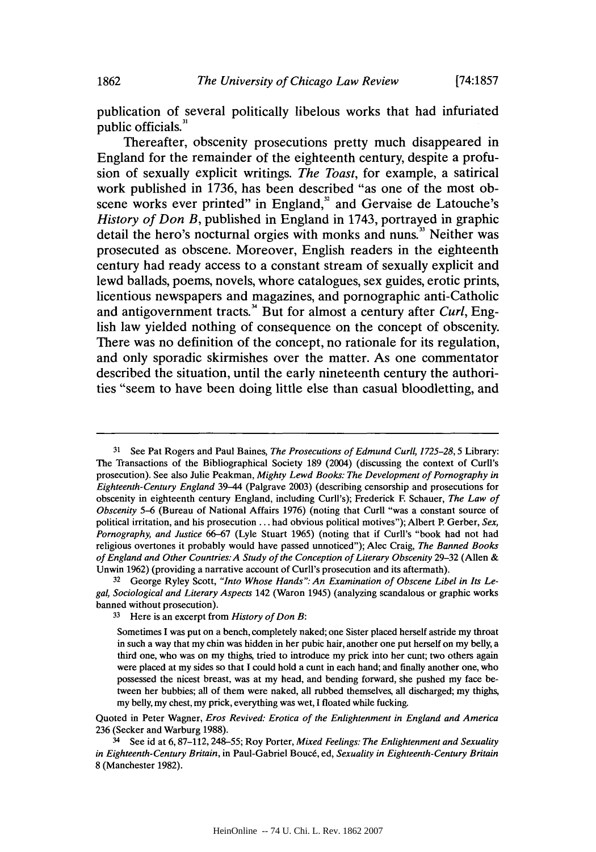publication of several politically libelous works that had infuriated public officials.<sup>31</sup>

Thereafter, obscenity prosecutions pretty much disappeared in England for the remainder of the eighteenth century, despite a profusion of sexually explicit writings. *The Toast,* for example, a satirical work published in **1736,** has been described "as one of the most obscene works ever printed" in England,<sup>32</sup> and Gervaise de Latouche's *History of Don B,* published in England in 1743, portrayed in graphic detail the hero's nocturnal orgies with monks and nuns.<sup>33</sup> Neither was prosecuted as obscene. Moreover, English readers in the eighteenth century had ready access to a constant stream of sexually explicit and lewd ballads, poems, novels, whore catalogues, sex guides, erotic prints, licentious newspapers and magazines, and pornographic anti-Catholic and antigovernment tracts." But for almost a century after *Curl,* English law yielded nothing of consequence on the concept of obscenity. There was no definition of the concept, no rationale for its regulation, and only sporadic skirmishes over the matter. As one commentator described the situation, until the early nineteenth century the authorities "seem to have been doing little else than casual bloodletting, and

**<sup>31</sup>** See Pat Rogers and Paul Baines, *The Prosecutions of Edmund Curll, 1725-28,5* Library: The Transactions of the Bibliographical Society **189** (2004) (discussing the context of Curll's prosecution). See also Julie Peakman, *Mighty Lewd Books: The Development of Pornography in Eighteenth-Century England* 39-44 (Palgrave **2003)** (describing censorship and prosecutions for obscenity in eighteenth century England, including Curll's); Frederick **F** Schauer, *The Law of Obscenity* **5-6** (Bureau of National Affairs **1976)** (noting that Curll "was a constant source of political irritation, and his prosecution **...** had obvious political motives"); Albert P. Gerber, *Sex, Pornography, and Justice* **66-67** (Lyle Stuart **1965)** (noting that if Curll's "book had not had religious overtones it probably would have passed unnoticed"); Alec Craig, *The Banned Books of England and Other Countries:A Study of the Conception of Literary Obscenity* **29-32** (Allen **&** Unwin **1962)** (providing a narrative account of Curll's prosecution and its aftermath).

**<sup>32</sup>** George Ryley Scott, *"Into Whose Hands": An Examination of Obscene Libel in Its Legal, Sociological and Literary Aspects* 142 (Waron 1945) (analyzing scandalous or graphic works banned without prosecution).

**<sup>33</sup>**Here is an excerpt from *History of Don B:*

Sometimes **I** was put on a bench, completely naked; one Sister placed herself astride my throat in such a way that my chin was hidden in her pubic hair, another one put herself on my belly, a third one, who was on my thighs, tried to introduce my prick into her cunt; two others again were placed at my sides so that **I** could hold a cunt in each hand; and finally another one, who possessed the nicest breast, was at my head, and bending forward, she pushed my face between her bubbies; all of them were naked, all rubbed themselves, all discharged; my thighs, my belly, my chest, my prick, everything was wet, **I** floated while fucking.

Quoted in Peter Wagner, *Eros Revived: Erotica of the Enlightenment in England and America* **236** (Secker and Warburg **1988).**

<sup>3</sup> See id at **6,87-112, 248-55;** Roy Porter, *Mixed Feelings: The Enlightenment and Sexuality in Eighteenth-Century Britain,* in Paul-Gabriel Bouc6, ed, *Sexuality in Eighteenth-Century Britain* **8** (Manchester **1982).**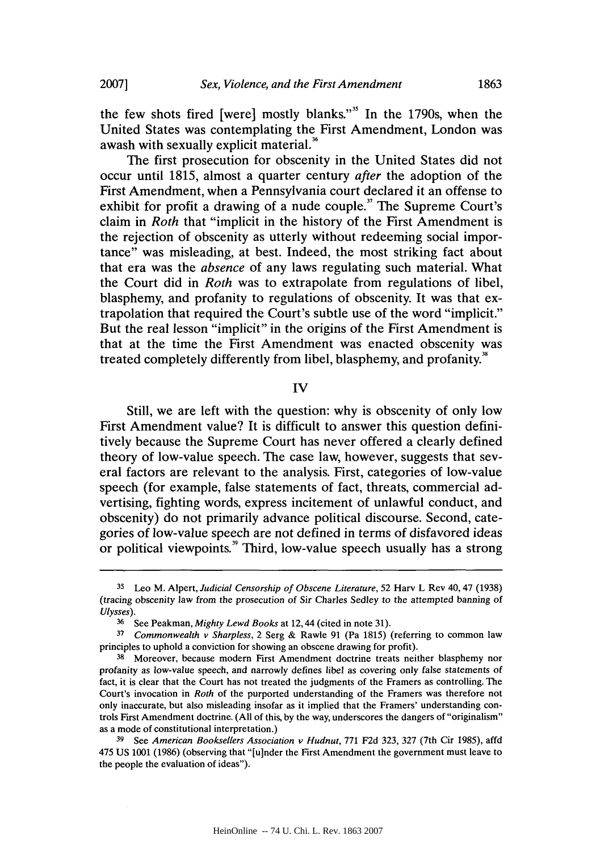the few shots fired [were] mostly blanks."<sup>35</sup> In the 1790s, when the United States was contemplating the First Amendment, London was awash with sexually explicit material.<sup>86</sup>

The first prosecution for obscenity in the United States did not occur until **1815,** almost a quarter century *after* the adoption of the First Amendment, when a Pennsylvania court declared it an offense to exhibit for profit a drawing of a nude couple." The Supreme Court's claim in *Roth* that "implicit in the history of the First Amendment is the rejection of obscenity as utterly without redeeming social importance" was misleading, at best. Indeed, the most striking fact about that era was the *absence* of any laws regulating such material. What the Court did in *Roth* was to extrapolate from regulations of libel, blasphemy, and profanity to regulations of obscenity. It was that extrapolation that required the Court's subtle use of the word "implicit." But the real lesson "implicit" in the origins of the First Amendment is that at the time the First Amendment was enacted obscenity was treated completely differently from libel, blasphemy, and profanity."

## **IV**

Still, we are left with the question: why is obscenity of only low First Amendment value? It is difficult to answer this question definitively because the Supreme Court has never offered a clearly defined theory of low-value speech. The case law, however, suggests that several factors are relevant to the analysis. First, categories of low-value speech (for example, false statements of fact, threats, commercial advertising, fighting words, express incitement of unlawful conduct, and obscenity) do not primarily advance political discourse. Second, categories of low-value speech are not defined in terms of disfavored ideas or political viewpoints.<sup>39</sup> Third, low-value speech usually has a strong

**<sup>35</sup>**Leo M. Alpert, *Judicial Censorship of Obscene Literature,* **52** Harv L Rev 40, 47 **(1938)** (tracing obscenity law from the prosecution of Sir Charles Sedley to the attempted banning of *Ulysses).*

**<sup>36</sup>**See Peakman, *Mighty Lewd Books* at 12,44 (cited in note **31).**

*<sup>37</sup>Commonwealth v Sharpless,* 2 Serg **&** Rawle **91** (Pa **1815)** (referring to common law principles to uphold a conviction for showing an obscene drawing for profit).

<sup>&</sup>lt;sup>38</sup> Moreover, because modern First Amendment doctrine treats neither blasphemy nor profanity as low-value speech, and narrowly defines libel as covering only false *statements of* fact, it is clear that the Court has not treated the judgments of the Framers as controlling. The Court's invocation in *Roth* of the purported understanding of the Framers was therefore not only inaccurate, but also misleading insofar as it implied that the Framers' understanding controls First Amendment doctrine. **(All** of this, **by** the way, underscores the dangers of "originalism" as a mode of constitutional interpretation.)

**<sup>39</sup>**See *American Booksellers Association v Hudnut,* **771 F2d 323, 327** (7th Cir **1985),** affd 475 **US 1001 (1986)** (observing that "[u]nder the First Amendment the government must leave to the people the evaluation of ideas").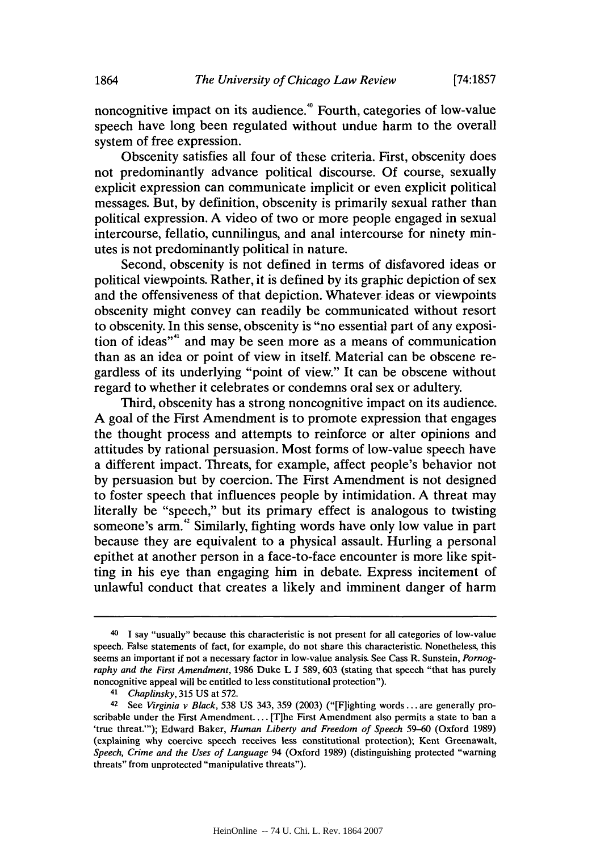noncognitive impact on its audience.<sup>40</sup> Fourth, categories of low-value speech have long been regulated without undue harm to the overall system of free expression.

Obscenity satisfies all four of these criteria. First, obscenity does not predominantly advance political discourse. **Of** course, sexually explicit expression can communicate implicit or even explicit political messages. But, **by** definition, obscenity is primarily sexual rather than political expression. **A** video of two or more people engaged in sexual intercourse, fellatio, cunnilingus, and anal intercourse for ninety minutes is not predominantly political in nature.

Second, obscenity is not defined in terms of disfavored ideas or political viewpoints. Rather, it is defined **by** its graphic depiction of sex and the offensiveness of that depiction. Whatever ideas or viewpoints obscenity might convey can readily be communicated without resort to obscenity. In this sense, obscenity is "no essential part of any exposition of ideas"" and may be seen more as a means of communication than as an idea or point of view in itself. Material can be obscene regardless of its underlying "point of view." It can be obscene without regard to whether it celebrates or condemns oral sex or adultery.

Third, obscenity has a strong noncognitive impact on its audience. **A** goal of the First Amendment is to promote expression that engages the thought process and attempts to reinforce or alter opinions and attitudes **by** rational persuasion. Most forms of low-value speech have a different impact. Threats, for example, affect people's behavior not **by** persuasion but **by** coercion. The First Amendment is not designed to foster speech that influences people **by** intimidation. **A** threat may literally be "speech," but its primary effect is analogous to twisting someone's arm.<sup>42</sup> Similarly, fighting words have only low value in part because they are equivalent to a physical assault. Hurling a personal epithet at another person in a face-to-face encounter is more like spitting in his eye than engaging him in debate. Express incitement of unlawful conduct that creates a likely and imminent danger of harm

<sup>40</sup>I say "usually" because this characteristic is not present for all categories of low-value speech. False statements of fact, for example, do not share this characteristic. Nonetheless, this seems an important if not a necessary factor in low-value analysis. See Cass R. Sunstein, *Pornography and the First Amendment,* **1986** Duke L **J 589, 603** (stating that speech "that has purely noncognitive appeal will be entitled to less constitutional protection").

<sup>41</sup>*Chaplinsky,* **315 US** at **572.**

<sup>42</sup> See *Virginia v Black,* **538 US** 343, **359 (2003)** ("[Flighting words **...** are generally proscribable under the First Amendment.... [T]he First Amendment also permits a state to ban a 'true threat."'); Edward Baker, *Human Liberty and Freedom of Speech* **59-60** (Oxford **1989)** (explaining why coercive speech receives less constitutional protection); Kent Greenawalt, *Speech, Crime and the Uses of Language* 94 (Oxford **1989)** (distinguishing protected "warning threats" from unprotected "manipulative threats").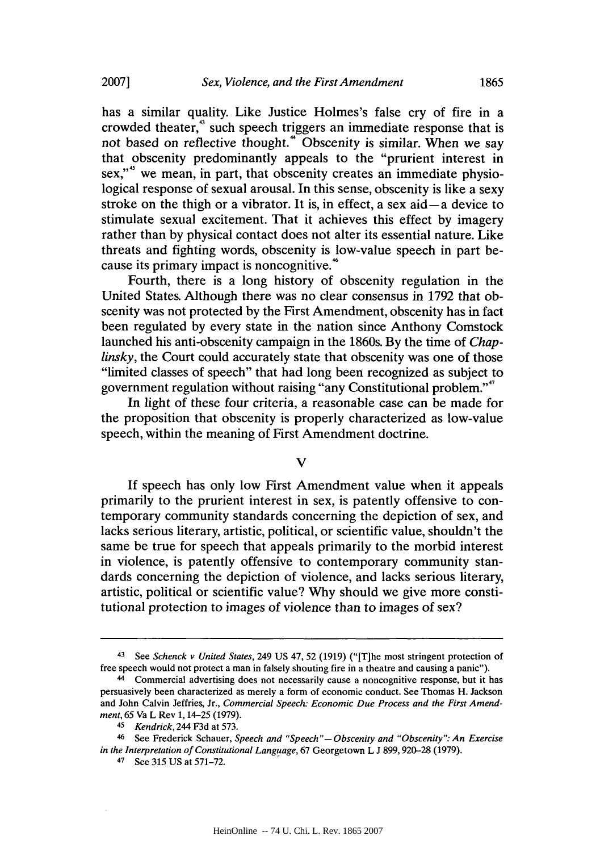has a similar quality. Like Justice Holmes's false cry of fire in a crowded theater," such speech triggers an immediate response that is not based on reflective thought.<sup>44</sup> Obscenity is similar. When we say that obscenity predominantly appeals to the "prurient interest in sex,"<sup>45</sup> we mean, in part, that obscenity creates an immediate physiological response of sexual arousal. In this sense, obscenity is like a sexy stroke on the thigh or a vibrator. It is, in effect, a sex aid  $-a$  device to stimulate sexual excitement. That it achieves this effect **by** imagery rather than **by** physical contact does not alter its essential nature. Like threats and fighting words, obscenity is low-value speech in part because its primary impact is noncognitive.<sup>46</sup>

Fourth, there is a long history of obscenity regulation in the United States. Although there was no clear consensus in **1792** that obscenity was not protected **by** the First Amendment, obscenity has in fact been regulated **by** every state in the nation since Anthony Comstock launched his anti-obscenity campaign in the 1860s. **By** the time of *Chaplinsky*, the Court could accurately state that obscenity was one of those "limited classes of speech" that had long been recognized as subject to government regulation without raising "any Constitutional problem.""

In light of these four criteria, a reasonable case can be made for the proposition that obscenity is properly characterized as low-value speech, within the meaning of First Amendment doctrine.

**V**

If speech has only low First Amendment value when it appeals primarily to the prurient interest in sex, is patently offensive to contemporary community standards concerning the depiction of sex, and lacks serious literary, artistic, political, or scientific value, shouldn't the same be true for speech that appeals primarily to the morbid interest in violence, is patently offensive to contemporary community standards concerning the depiction of violence, and lacks serious literary, artistic, political or scientific value? **Why** should we give more constitutional protection to images of violence than to images of sex?

<sup>43</sup> See *Schenck v United States,* 249 **US** 47, **52 (1919)** ("[TJhe most stringent protection of free speech would not protect a man in falsely shouting fire in a theatre and causing a panic").

<sup>44</sup>Commercial advertising does not necessarily cause a noncognitive response, but it has persuasively been characterized as merely a form of economic conduct. See Thomas H. Jackson and John Calvin Jeffries, Jr., *Commercial Speech: Economic Due Process and the First Amendment, 65* Va L Rev **1,** 14-25 **(1979).**

*<sup>45</sup> Kendrick,* 244 **F3d** at **573.**

<sup>46</sup> See Frederick Schauer, *Speech and "Speech"-Obscenity and "Obscenity": An Exercise in the Interpretation of Constitutional Language,* **67** Georgetown L **J 899,920-28 (1979).**

<sup>47</sup> See *315* US at 571-72.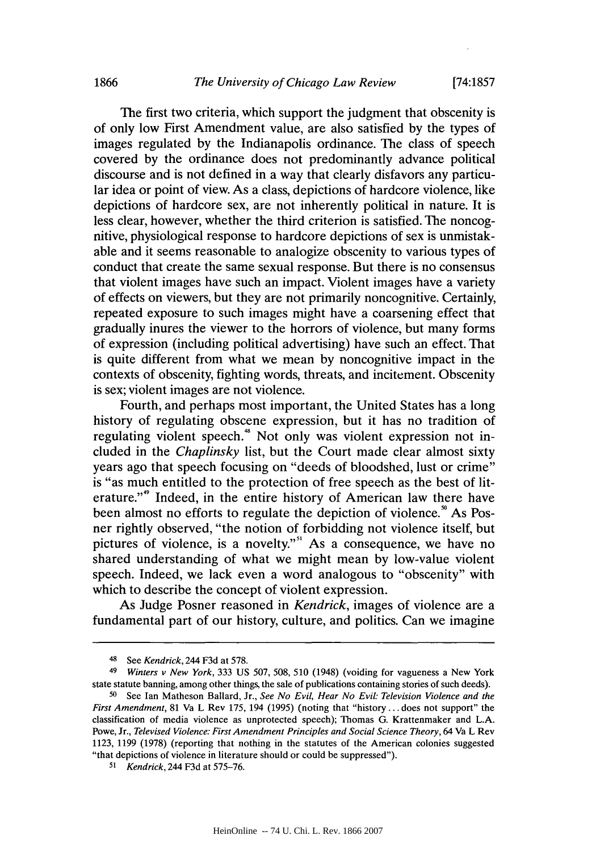The first two criteria, which support the judgment that obscenity is of only low First Amendment value, are also satisfied **by** the types of images regulated **by** the Indianapolis ordinance. The class of speech covered **by** the ordinance does not predominantly advance political discourse and is not defined in a way that clearly disfavors any particular idea or point of view. As a class, depictions of hardcore violence, like depictions of hardcore sex, are not inherently political in nature. It is less clear, however, whether the third criterion is satisfied. The noncognitive, physiological response to hardcore depictions of sex is unmistakable and it seems reasonable to analogize obscenity to various types of conduct that create the same sexual response. But there is no consensus that violent images have such an impact. Violent images have a variety of effects on viewers, but they are not primarily noncognitive. Certainly, repeated exposure to such images might have a coarsening effect that gradually inures the viewer to the horrors of violence, but many forms of expression (including political advertising) have such an effect. That is quite different from what we mean **by** noncognitive impact in the contexts of obscenity, fighting words, threats, and incitement. Obscenity is sex; violent images are not violence.

Fourth, and perhaps most important, the United States has a long history of regulating obscene expression, but it has no tradition of regulating violent speech.<sup>48</sup> Not only was violent expression not included in the *Chaplinsky* list, but the Court made clear almost sixty years ago that speech focusing on "deeds of bloodshed, lust or crime" is "as much entitled to the protection of free speech as the best of literature."" Indeed, in the entire history of American law there have been almost no efforts to regulate the depiction of violence.<sup>90</sup> As Posner rightly observed, "the notion of forbidding not violence itself, but pictures of violence, is a novelty."<sup>51</sup> As a consequence, we have no shared understanding of what we might mean **by** low-value violent speech. Indeed, we lack even a word analogous to "obscenity" with which to describe the concept of violent expression.

As Judge Posner reasoned in *Kendrick,* images of violence are a fundamental part of our history, culture, and politics. Can we imagine

<sup>48</sup> See *Kendrick,* 244 **F3d** at **578.**

*<sup>49</sup> Winters v New York,* **333 US** *507,* **508, 510** (1948) (voiding for vagueness a New York state statute banning, among other things, the sale of publications containing stories of such deeds).

**<sup>50</sup>**See Ian Matheson Ballard, Jr., *See No Evil, Hear No Evil: Television Violence and the First Amendment,* **81** Va L Rev **175,** 194 **(1995)** (noting that "history **...** does not support" the classification of media violence as unprotected speech); Thomas **G.** Krattenmaker and **L.A.** Powe, Jr., *Televised Violence: First Amendment Principles and Social Science Theory,* 64 Va L Rev **1123, 1199 (1978)** (reporting that nothing in the statutes of the American colonies suggested "that depictions of violence in literature should or could be suppressed").

*<sup>51</sup>Kendrick,* 244 **F3d** at **575-76.**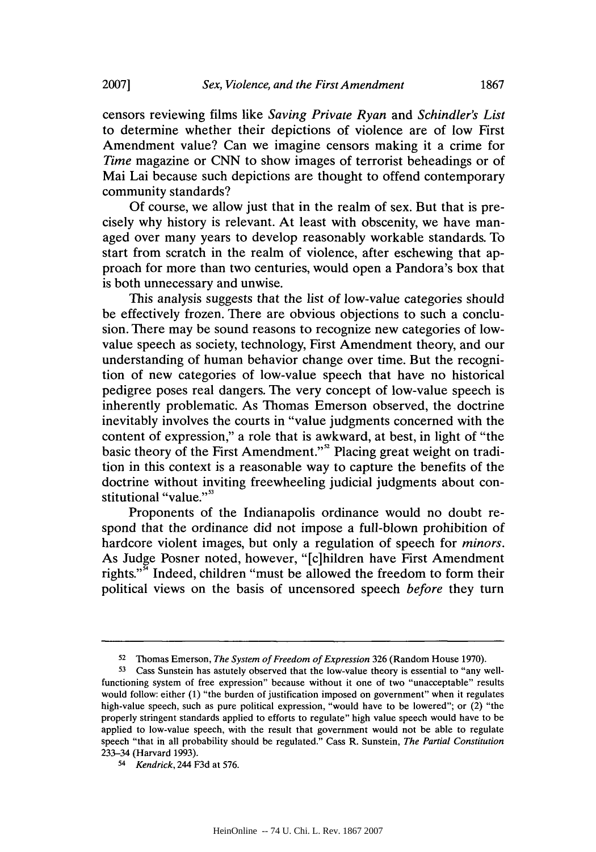censors reviewing films like *Saving Private Ryan and Schindler's List* to determine whether their depictions of violence are of low First Amendment value? Can we imagine censors making it a crime for *Time* magazine or **CNN** to show images of terrorist beheadings or of Mai Lai because such depictions are thought to offend contemporary community standards?

**Of** course, we allow just that in the realm of sex. But that is precisely why history is relevant. At least with obscenity, we have managed over many years to develop reasonably workable standards. To start from scratch in the realm of violence, after eschewing that approach for more than two centuries, would open a Pandora's box that is both unnecessary and unwise.

This analysis suggests that the list of low-value categories should be effectively frozen. There are obvious objections to such a conclusion. There may be sound reasons to recognize new categories of lowvalue speech as society, technology, First Amendment theory, and our understanding of human behavior change over time. But the recognition of new categories of low-value speech that have no historical pedigree poses real dangers. The very concept of low-value speech is inherently problematic. As Thomas Emerson observed, the doctrine inevitably involves the courts in "value judgments concerned with the content of expression," a role that is awkward, at best, in light of "the basic theory of the First Amendment."" Placing great weight on tradition in this context is a reasonable way to capture the benefits of the doctrine without inviting freewheeling judicial judgments about constitutional "value."<sup>53</sup>

Proponents of the Indianapolis ordinance would no doubt respond that the ordinance did not impose a full-blown prohibition of hardcore violent images, but only a regulation of speech for *minors.* As Judge Posner noted, however, "[c]hildren have First Amendment rights."<sup>4</sup> Indeed, children "must be allowed the freedom to form their political views on the basis of uncensored speech *before* they turn

**<sup>52</sup>**Thomas Emerson, *The System of Freedom of Expression* **326** (Random House **1970).**

**<sup>53</sup>** Cass Sunstein has astutely observed that the low-value theory is essential to "any wellfunctioning system of free expression" because without it one of two "unacceptable" results would follow: either **(1)** "the burden of justification imposed on government" when it regulates high-value speech, such as pure political expression, "would have to be lowered"; or (2) "the properly stringent standards applied to efforts to regulate" high value speech would have to be applied to low-value speech, with the result that government would not be able to regulate speech "that in all probability should be regulated." Cass R. Sunstein, *The Partial Constitution* 233-34 (Harvard **1993).**

*<sup>5</sup> Kendrick,* 244 **F3d** at **576.**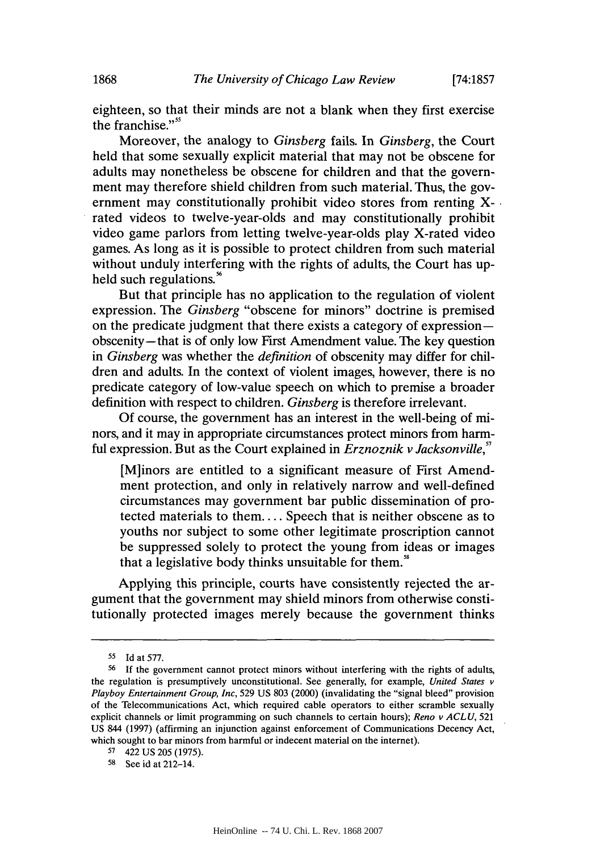eighteen, so that their minds are not a blank when they first exercise the franchise."<sup>55</sup>

Moreover, the analogy to *Ginsberg* fails. In *Ginsberg,* the Court held that some sexually explicit material that may not be obscene for adults may nonetheless be obscene for children and that the government may therefore shield children from such material. Thus, the government may constitutionally prohibit video stores from renting Xrated videos to twelve-year-olds and may constitutionally prohibit video game parlors from letting twelve-year-olds play X-rated video games. As long as it is possible to protect children from such material without unduly interfering with the rights of adults, the Court has upheld such regulations.<sup>5</sup>

But that principle has no application to the regulation of violent expression. The *Ginsberg* "obscene for minors" doctrine is premised on the predicate judgment that there exists a category of expression obscenity-that is of only low First Amendment value. The key question *in Ginsberg* was whether the *definition* of obscenity may differ for children and adults. In the context of violent images, however, there is no predicate category of low-value speech on which to premise a broader definition with respect to children. *Ginsberg* is therefore irrelevant.

**Of** course, the government has an interest in the well-being of minors, and it may in appropriate circumstances protect minors from harmful expression. But as the Court explained in *Erznoznik v Jacksonville,"*

[M]inors are entitled to a significant measure of First Amendment protection, and only in relatively narrow and well-defined circumstances may government bar public dissemination of protected materials to **them....** Speech that is neither obscene as to youths nor subject to some other legitimate proscription cannot be suppressed solely to protect the young from ideas or images that a legislative body thinks unsuitable for them.

Applying this principle, courts have consistently rejected the argument that the government may shield minors from otherwise constitutionally protected images merely because the government thinks

**<sup>55</sup>**Id at **577.**

**<sup>56</sup>If** the government cannot protect minors without interfering with the rights of adults, the regulation is presumptively unconstitutional. See generally, for example, *United States v Playboy Entertainment* **Group,** *Inc,* **529 US 803** (2000) (invalidating the "signal bleed" provision of the Telecommunications Act, which required cable operators to either scramble sexually explicit channels or limit programming on such channels to certain hours); *Reno v ACLU, 521* **US** 844 **(1997)** (affirming an injunction against enforcement of Communications Decency Act, which sought to bar minors from harmful or indecent material on the internet).

**<sup>57</sup>**422 **US 205 (1975).**

**<sup>58</sup>**See id at 212-14.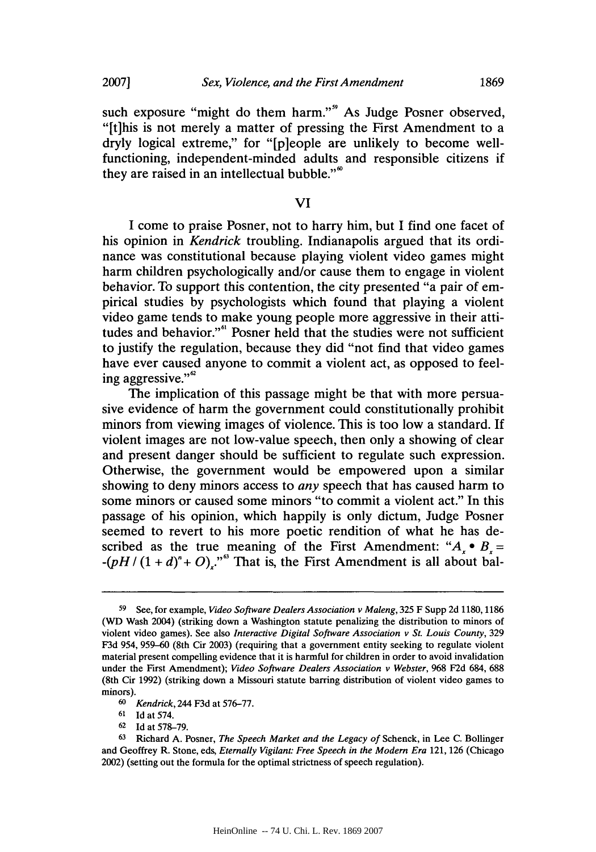such exposure "might do them harm."<sup>9</sup> As Judge Posner observed, "[t]his is not merely a matter of pressing the First Amendment to a dryly logical extreme," for "[p]eople are unlikely to become wellfunctioning, independent-minded adults and responsible citizens if they are raised in an intellectual bubble."<sup>6</sup>

#### **VI**

**I** come to praise Posner, not to harry him, but **I** find one facet of his opinion in *Kendrick* troubling. Indianapolis argued that its ordinance was constitutional because playing violent video games might harm children psychologically and/or cause them to engage in violent behavior. To support this contention, the city presented "a pair of empirical studies **by** psychologists which found that playing a violent video game tends to make young people more aggressive in their attitudes and behavior."<sup>61</sup> Posner held that the studies were not sufficient to justify the regulation, because they did "not find that video games have ever caused anyone to commit a violent act, as opposed to feeling aggressive." $\degree$ 

The implication of this passage might be that with more persuasive evidence of harm the government could constitutionally prohibit minors from viewing images of violence. This is too low a standard. **If** violent images are not low-value speech, then only a showing of clear and present danger should be sufficient to regulate such expression. Otherwise, the government would be empowered upon a similar showing to deny minors access to *any* speech that has caused harm to some minors or caused some minors "to commit a violent act." In this passage of his opinion, which happily is only dictum, Judge Posner seemed to revert to his more poetic rendition of what he has described as the true meaning of the First Amendment: " $A_x \bullet B_x =$  $-(pH/(1+d)^n + O)$ .<sup>"6</sup> That is, the First Amendment is all about bal-

**<sup>62</sup>**Id at **578-79.**

**<sup>59</sup>** See, for example, *Video Software Dealers Association v Maleng, 325* F Supp **2d 1180,1186** (WD Wash 2004) (striking down a Washington statute penalizing the distribution to minors of violent video games). See also *Interactive Digital Software Association v St. Louis County,* **329 F3d** 954, **959-60** (8th Cir **2003)** (requiring that a government entity seeking to regulate violent material present compelling evidence that it is harmful for children in order to avoid invalidation under the First Amendment); *Video Software Dealers Association v Webster,* **968 F2d** 684, **688** (8th Cir **1992)** (striking down a Missouri statute barring distribution of violent video games to minors).

*<sup>6</sup> Kendrick,* 244 **F3d** at *576-77.*

**<sup>61</sup> Id** at 574.

**<sup>63</sup>**Richard **A.** Posner, *The Speech Market and the Legacy of* Schenck, in Lee **C.** Bollinger and Geoffrey R. Stone, eds, *Eternally Vigilant: Free Speech in the Modem Era* 121, **126** (Chicago 2002) (setting out the formula for the optimal strictness of speech regulation).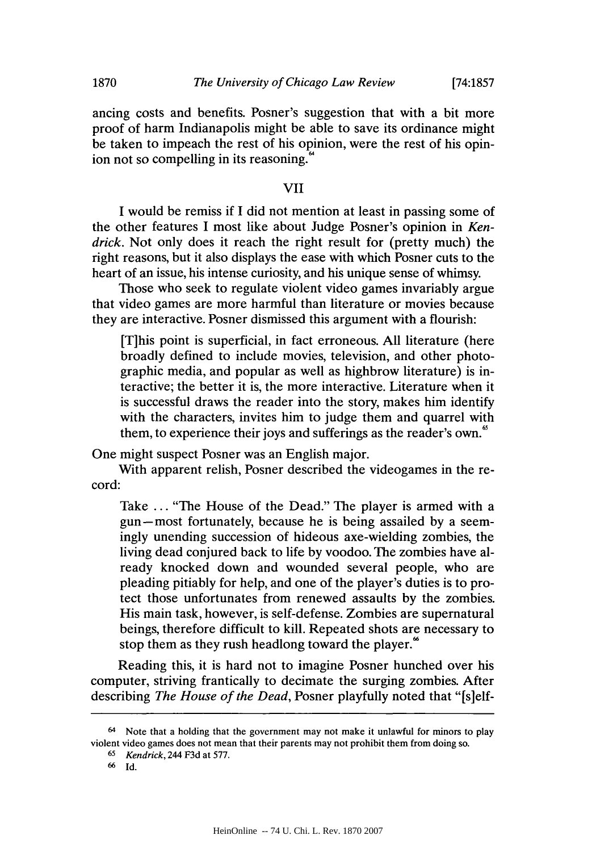ancing costs and benefits. Posner's suggestion that with a bit more proof of harm Indianapolis might be able to save its ordinance might be taken to impeach the rest of his opinion, were the rest of his opinion not so compelling in its reasoning.

## VII

I would be remiss if **I** did not mention at least in passing some of the other features **I** most like about Judge Posner's opinion in *Kendrick.* Not only does it reach the right result for (pretty much) the right reasons, but it also displays the ease with which Posner cuts to the heart of an issue, his intense curiosity, and his unique sense of whimsy.

Those who seek to regulate violent video games invariably argue that video games are more harmful than literature or movies because they are interactive. Posner dismissed this argument with a flourish:

[Tjhis point is superficial, in fact erroneous. **All** literature (here broadly defined to include movies, television, and other photographic media, and popular as well as highbrow literature) is interactive; the better it is, the more interactive. Literature when it is successful draws the reader into the story, makes him identify with the characters, invites him to judge them and quarrel with them, to experience their joys and sufferings as the reader's own.

One might suspect Posner was an English major.

With apparent relish, Posner described the videogames in the record:

Take **...** "The House of the Dead." The player is armed with a gun-most fortunately, because he is being assailed **by** a seemingly unending succession of hideous axe-wielding zombies, the living dead conjured back to life **by** voodoo. The zombies have already knocked down and wounded several people, who are pleading pitiably for help, and one of the player's duties is to protect those unfortunates from renewed assaults **by** the zombies. His main task, however, is self-defense. Zombies are supernatural beings, therefore difficult to kill. Repeated shots are necessary to stop them as they rush headlong toward the player.<sup>86</sup>

Reading this, it is hard not to imagine Posner hunched over his computer, striving frantically to decimate the surging zombies. After describing *The House of the Dead,* Posner playfully noted that "[s]elf-

<sup>64</sup> Note that a holding that the government may not make it unlawful *for* minors to play violent video games does not mean that their parents may not prohibit them from doing so.

**<sup>65</sup>***Kendrick,* 244 **F3d** at *577.*

**<sup>6</sup>** Id.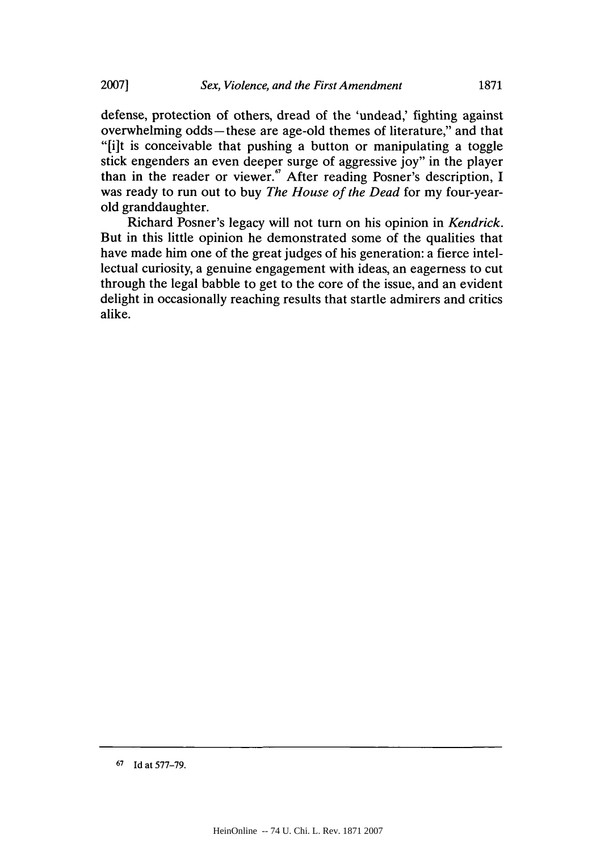defense, protection of others, dread of the 'undead,' fighting against overwhelming odds-these are age-old themes of literature," and that "[i]t is conceivable that pushing a button or manipulating a toggle stick engenders an even deeper surge of aggressive **joy"** in the player than in the reader or viewer." After reading Posner's description, **I** was ready to run out to buy *The House of the Dead* for my four-yearold granddaughter.

Richard Posner's legacy will not turn on his opinion in *Kendrick.* But in this little opinion he demonstrated some of the qualities that have made him one of the great judges of his generation: a fierce intellectual curiosity, a genuine engagement with ideas, an eagerness to cut through the legal babble to get to the core of the issue, and an evident delight in occasionally reaching results that startle admirers and critics alike.

**<sup>67</sup>Id** at **577-79.**